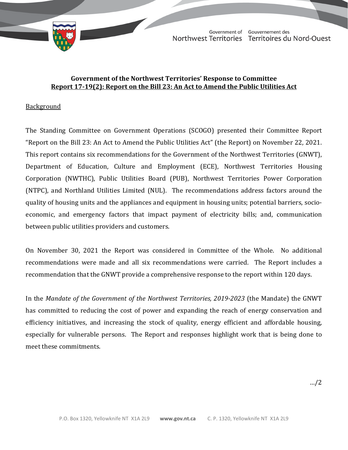

TD 623-19(2) TABLED ON MARCH 30, 2022Government of Gouvernement des Northwest Territories Territoires du Nord-Ouest

# **Government of the Northwest Territories' Response to Committee Report 17-19(2): Report on the Bill 23: An Act to Amend the Public Utilities Act**

# **Background**

The Standing Committee on Government Operations (SCOGO) presented their Committee Report "Report on the Bill 23: An Act to Amend the Public Utilities Act" (the Report) on November 22, 2021. This report contains six recommendations for the Government of the Northwest Territories (GNWT), Department of Education, Culture and Employment (ECE), Northwest Territories Housing Corporation (NWTHC), Public Utilities Board (PUB), Northwest Territories Power Corporation (NTPC), and Northland Utilities Limited (NUL). The recommendations address factors around the quality of housing units and the appliances and equipment in housing units; potential barriers, socioeconomic, and emergency factors that impact payment of electricity bills; and, communication between public utilities providers and customers.

On November 30, 2021 the Report was considered in Committee of the Whole. No additional recommendations were made and all six recommendations were carried. The Report includes a recommendation that the GNWT provide a comprehensive response to the report within 120 days.

In the *Mandate of the Government of the Northwest Territories, 2019-2023* (the Mandate) the GNWT has committed to reducing the cost of power and expanding the reach of energy conservation and efficiency initiatives, and increasing the stock of quality, energy efficient and affordable housing, especially for vulnerable persons. The Report and responses highlight work that is being done to meet these commitments.

…/2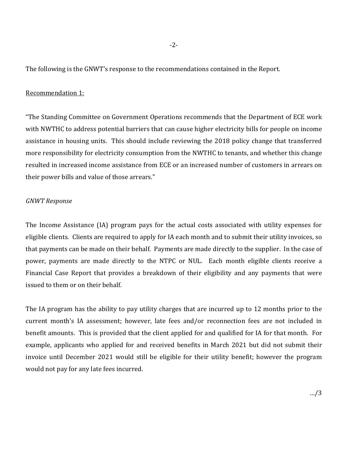The following is the GNWT's response to the recommendations contained in the Report.

# Recommendation 1:

"The Standing Committee on Government Operations recommends that the Department of ECE work with NWTHC to address potential barriers that can cause higher electricity bills for people on income assistance in housing units. This should include reviewing the 2018 policy change that transferred more responsibility for electricity consumption from the NWTHC to tenants, and whether this change resulted in increased income assistance from ECE or an increased number of customers in arrears on their power bills and value of those arrears."

# *GNWT Response*

The Income Assistance (IA) program pays for the actual costs associated with utility expenses for eligible clients. Clients are required to apply for IA each month and to submit their utility invoices, so that payments can be made on their behalf. Payments are made directly to the supplier. In the case of power, payments are made directly to the NTPC or NUL. Each month eligible clients receive a Financial Case Report that provides a breakdown of their eligibility and any payments that were issued to them or on their behalf.

The IA program has the ability to pay utility charges that are incurred up to 12 months prior to the current month's IA assessment; however, late fees and/or reconnection fees are not included in benefit amounts. This is provided that the client applied for and qualified for IA for that month. For example, applicants who applied for and received benefits in March 2021 but did not submit their invoice until December 2021 would still be eligible for their utility benefit; however the program would not pay for any late fees incurred.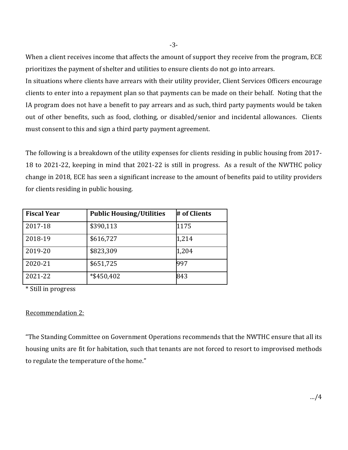When a client receives income that affects the amount of support they receive from the program, ECE prioritizes the payment of shelter and utilities to ensure clients do not go into arrears.

In situations where clients have arrears with their utility provider, Client Services Officers encourage clients to enter into a repayment plan so that payments can be made on their behalf. Noting that the IA program does not have a benefit to pay arrears and as such, third party payments would be taken out of other benefits, such as food, clothing, or disabled/senior and incidental allowances. Clients must consent to this and sign a third party payment agreement.

The following is a breakdown of the utility expenses for clients residing in public housing from 2017- 18 to 2021-22, keeping in mind that 2021-22 is still in progress. As a result of the NWTHC policy change in 2018, ECE has seen a significant increase to the amount of benefits paid to utility providers for clients residing in public housing.

| <b>Fiscal Year</b> | <b>Public Housing/Utilities</b> | # of Clients |
|--------------------|---------------------------------|--------------|
| 2017-18            | \$390,113                       | 1175         |
| 2018-19            | \$616,727                       | 1,214        |
| 2019-20            | \$823,309                       | 1,204        |
| 2020-21            | \$651,725                       | 997          |
| 2021-22            | *\$450,402                      | 843          |

\* Still in progress

## Recommendation 2:

"The Standing Committee on Government Operations recommends that the NWTHC ensure that all its housing units are fit for habitation, such that tenants are not forced to resort to improvised methods to regulate the temperature of the home."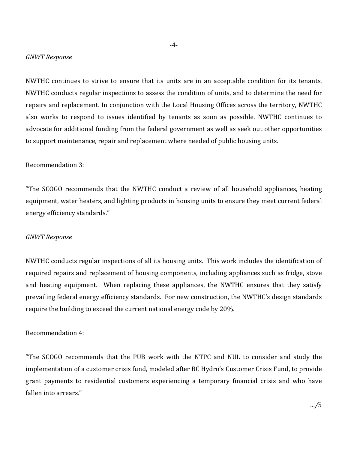## *GNWT Response*

NWTHC continues to strive to ensure that its units are in an acceptable condition for its tenants. NWTHC conducts regular inspections to assess the condition of units, and to determine the need for repairs and replacement. In conjunction with the Local Housing Offices across the territory, NWTHC also works to respond to issues identified by tenants as soon as possible. NWTHC continues to advocate for additional funding from the federal government as well as seek out other opportunities to support maintenance, repair and replacement where needed of public housing units.

## Recommendation 3:

"The SCOGO recommends that the NWTHC conduct a review of all household appliances, heating equipment, water heaters, and lighting products in housing units to ensure they meet current federal energy efficiency standards."

#### *GNWT Response*

NWTHC conducts regular inspections of all its housing units. This work includes the identification of required repairs and replacement of housing components, including appliances such as fridge, stove and heating equipment. When replacing these appliances, the NWTHC ensures that they satisfy prevailing federal energy efficiency standards. For new construction, the NWTHC's design standards require the building to exceed the current national energy code by 20%.

## Recommendation 4:

"The SCOGO recommends that the PUB work with the NTPC and NUL to consider and study the implementation of a customer crisis fund, modeled after BC Hydro's Customer Crisis Fund, to provide grant payments to residential customers experiencing a temporary financial crisis and who have fallen into arrears."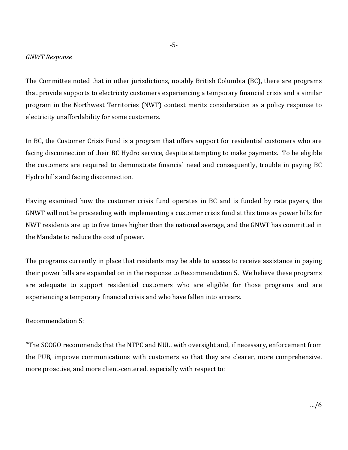#### *GNWT Response*

The Committee noted that in other jurisdictions, notably British Columbia (BC), there are programs that provide supports to electricity customers experiencing a temporary financial crisis and a similar program in the Northwest Territories (NWT) context merits consideration as a policy response to electricity unaffordability for some customers.

In BC, the Customer Crisis Fund is a program that offers support for residential customers who are facing disconnection of their BC Hydro service, despite attempting to make payments. To be eligible the customers are required to demonstrate financial need and consequently, trouble in paying BC Hydro bills and facing disconnection.

Having examined how the customer crisis fund operates in BC and is funded by rate payers, the GNWT will not be proceeding with implementing a customer crisis fund at this time as power bills for NWT residents are up to five times higher than the national average, and the GNWT has committed in the Mandate to reduce the cost of power.

The programs currently in place that residents may be able to access to receive assistance in paying their power bills are expanded on in the response to Recommendation 5. We believe these programs are adequate to support residential customers who are eligible for those programs and are experiencing a temporary financial crisis and who have fallen into arrears.

## Recommendation 5:

"The SCOGO recommends that the NTPC and NUL, with oversight and, if necessary, enforcement from the PUB, improve communications with customers so that they are clearer, more comprehensive, more proactive, and more client-centered, especially with respect to: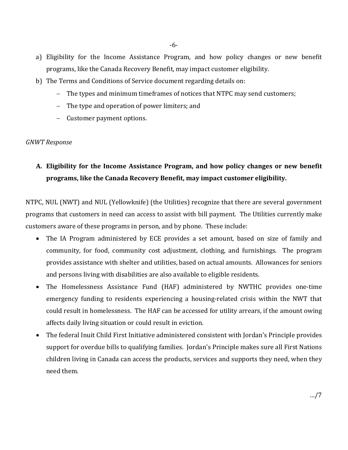- a) Eligibility for the Income Assistance Program, and how policy changes or new benefit programs, like the Canada Recovery Benefit, may impact customer eligibility.
- b) The Terms and Conditions of Service document regarding details on:
	- − The types and minimum timeframes of notices that NTPC may send customers;
	- − The type and operation of power limiters; and
	- − Customer payment options.

## *GNWT Response*

# **A. Eligibility for the Income Assistance Program, and how policy changes or new benefit programs, like the Canada Recovery Benefit, may impact customer eligibility.**

NTPC, NUL (NWT) and NUL (Yellowknife) (the Utilities) recognize that there are several government programs that customers in need can access to assist with bill payment. The Utilities currently make customers aware of these programs in person, and by phone. These include:

- The IA Program administered by ECE provides a set amount, based on size of family and community, for food, community cost adjustment, clothing, and furnishings. The program provides assistance with shelter and utilities, based on actual amounts. Allowances for seniors and persons living with disabilities are also available to eligible residents.
- The Homelessness Assistance Fund (HAF) administered by NWTHC provides one-time emergency funding to residents experiencing a housing-related crisis within the NWT that could result in homelessness. The HAF can be accessed for utility arrears, if the amount owing affects daily living situation or could result in eviction.
- The federal Inuit Child First Initiative administered consistent with Jordan's Principle provides support for overdue bills to qualifying families. Jordan's Principle makes sure all First Nations children living in Canada can access the products, services and supports they need, when they need them.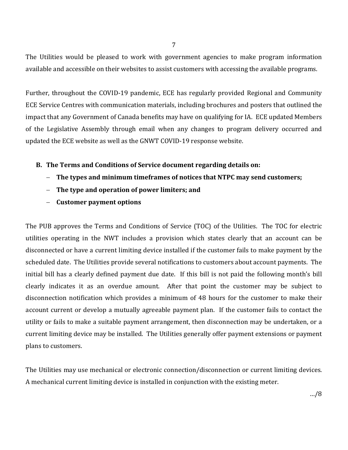The Utilities would be pleased to work with government agencies to make program information available and accessible on their websites to assist customers with accessing the available programs.

Further, throughout the COVID-19 pandemic, ECE has regularly provided Regional and Community ECE Service Centres with communication materials, including brochures and posters that outlined the impact that any Government of Canada benefits may have on qualifying for IA. ECE updated Members of the Legislative Assembly through email when any changes to program delivery occurred and updated the ECE website as well as the GNWT COVID-19 response website.

# **B. The Terms and Conditions of Service document regarding details on:**

- − **The types and minimum timeframes of notices that NTPC may send customers;**
- − **The type and operation of power limiters; and**
- − **Customer payment options**

The PUB approves the Terms and Conditions of Service (TOC) of the Utilities. The TOC for electric utilities operating in the NWT includes a provision which states clearly that an account can be disconnected or have a current limiting device installed if the customer fails to make payment by the scheduled date. The Utilities provide several notifications to customers about account payments. The initial bill has a clearly defined payment due date. If this bill is not paid the following month's bill clearly indicates it as an overdue amount. After that point the customer may be subject to disconnection notification which provides a minimum of 48 hours for the customer to make their account current or develop a mutually agreeable payment plan. If the customer fails to contact the utility or fails to make a suitable payment arrangement, then disconnection may be undertaken, or a current limiting device may be installed. The Utilities generally offer payment extensions or payment plans to customers.

The Utilities may use mechanical or electronic connection/disconnection or current limiting devices. A mechanical current limiting device is installed in conjunction with the existing meter.

7